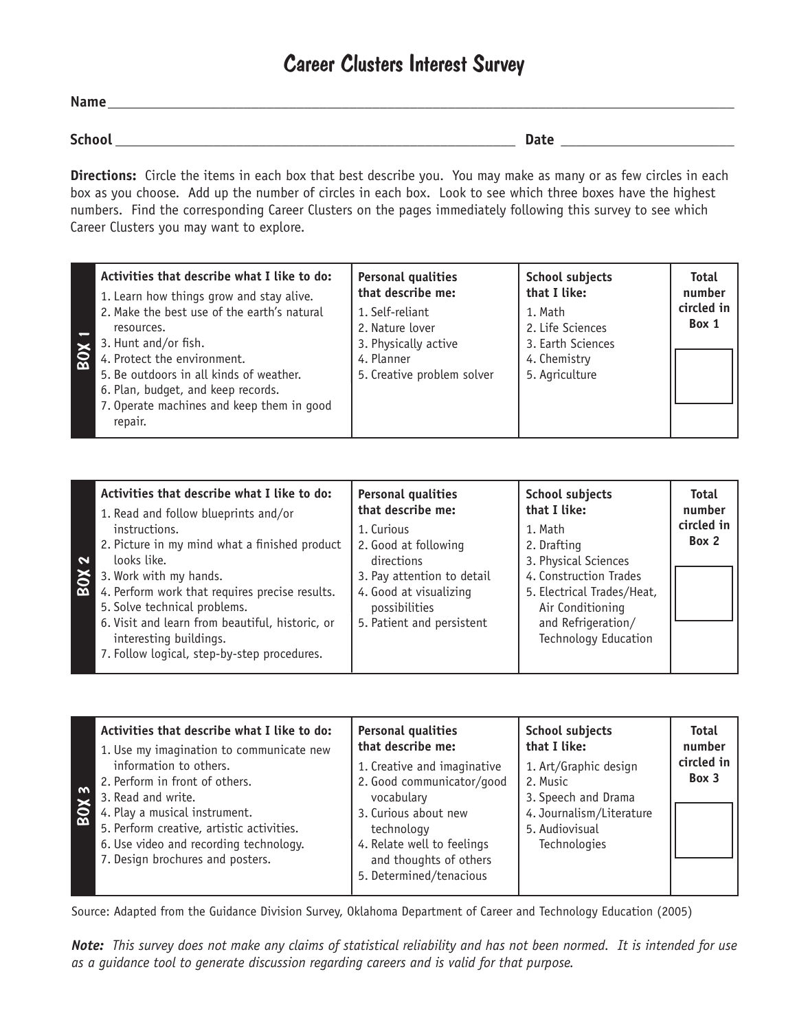## Career Clusters Interest Survey

| <b>Name</b>   |             |
|---------------|-------------|
|               |             |
| <b>School</b> | <b>Date</b> |

**Directions:**Circle the items in each box that best describe you. You may make as many or as few circles in each box as you choose. Add up the number of circles in each box. Look to see which three boxes have the highest numbers. Find the corresponding Career Clusters on the pages immediately following this survey to see which Career Clusters you may want to explore.

| Activities that describe what I like to do:<br>1. Learn how things grow and stay alive.<br>2. Make the best use of the earth's natural<br>resources.<br>3. Hunt and/or fish.<br>BOX<br>4. Protect the environment.<br>5. Be outdoors in all kinds of weather.<br>6. Plan, budget, and keep records.<br>7. Operate machines and keep them in good<br>repair. | <b>Personal qualities</b><br>that describe me:<br>1. Self-reliant<br>2. Nature lover<br>3. Physically active<br>4. Planner<br>5. Creative problem solver | <b>School subjects</b><br>that I like:<br>1. Math<br>2. Life Sciences<br>3. Earth Sciences<br>4. Chemistry<br>5. Agriculture | <b>Total</b><br>number<br>circled in<br>Box 1 |
|-------------------------------------------------------------------------------------------------------------------------------------------------------------------------------------------------------------------------------------------------------------------------------------------------------------------------------------------------------------|----------------------------------------------------------------------------------------------------------------------------------------------------------|------------------------------------------------------------------------------------------------------------------------------|-----------------------------------------------|
|-------------------------------------------------------------------------------------------------------------------------------------------------------------------------------------------------------------------------------------------------------------------------------------------------------------------------------------------------------------|----------------------------------------------------------------------------------------------------------------------------------------------------------|------------------------------------------------------------------------------------------------------------------------------|-----------------------------------------------|

| Activities that describe what I like to do:                                                                                                                                                                                                                                                                                                  | <b>Personal qualities</b>                                                                                                                              | <b>School subjects</b>                                                                                                                                                          | <b>Total</b>        |
|----------------------------------------------------------------------------------------------------------------------------------------------------------------------------------------------------------------------------------------------------------------------------------------------------------------------------------------------|--------------------------------------------------------------------------------------------------------------------------------------------------------|---------------------------------------------------------------------------------------------------------------------------------------------------------------------------------|---------------------|
| 1. Read and follow blueprints and/or                                                                                                                                                                                                                                                                                                         | that describe me:                                                                                                                                      | that I like:                                                                                                                                                                    | number              |
| instructions.<br>2. Picture in my mind what a finished product<br>$\mathbf{N}$<br>looks like.<br>BON<br>3. Work with my hands.<br>4. Perform work that requires precise results.<br>5. Solve technical problems.<br>6. Visit and learn from beautiful, historic, or<br>interesting buildings.<br>7. Follow logical, step-by-step procedures. | 1. Curious<br>2. Good at following<br>directions<br>3. Pay attention to detail<br>4. Good at visualizing<br>possibilities<br>5. Patient and persistent | 1. Math<br>2. Drafting<br>3. Physical Sciences<br>4. Construction Trades<br>5. Electrical Trades/Heat,<br>Air Conditioning<br>and Refrigeration/<br><b>Technology Education</b> | circled in<br>Box 2 |

| $\boldsymbol{\omega}$<br>EOX 3 | Activities that describe what I like to do:<br>1. Use my imagination to communicate new<br>information to others.<br>2. Perform in front of others.<br>3. Read and write.<br>4. Play a musical instrument.<br>5. Perform creative, artistic activities.<br>6. Use video and recording technology.<br>7. Design brochures and posters. | <b>Personal qualities</b><br>that describe me:<br>1. Creative and imaginative<br>2. Good communicator/good<br>vocabulary<br>3. Curious about new<br>technology<br>4. Relate well to feelings<br>and thoughts of others<br>5. Determined/tenacious | <b>School subjects</b><br>that I like:<br>1. Art/Graphic design<br>2. Music<br>3. Speech and Drama<br>4. Journalism/Literature<br>5. Audiovisual<br>Technologies | <b>Total</b><br>number<br>circled in<br>Box 3 |
|--------------------------------|---------------------------------------------------------------------------------------------------------------------------------------------------------------------------------------------------------------------------------------------------------------------------------------------------------------------------------------|---------------------------------------------------------------------------------------------------------------------------------------------------------------------------------------------------------------------------------------------------|------------------------------------------------------------------------------------------------------------------------------------------------------------------|-----------------------------------------------|
|--------------------------------|---------------------------------------------------------------------------------------------------------------------------------------------------------------------------------------------------------------------------------------------------------------------------------------------------------------------------------------|---------------------------------------------------------------------------------------------------------------------------------------------------------------------------------------------------------------------------------------------------|------------------------------------------------------------------------------------------------------------------------------------------------------------------|-----------------------------------------------|

Source: Adapted from the Guidance Division Survey, Oklahoma Department of Career and Technology Education (2005)

*Note: This survey does not make any claims of statistical reliability and has not been normed. It is intended for use as a guidance tool to generate discussion regarding careers and is valid for that purpose.*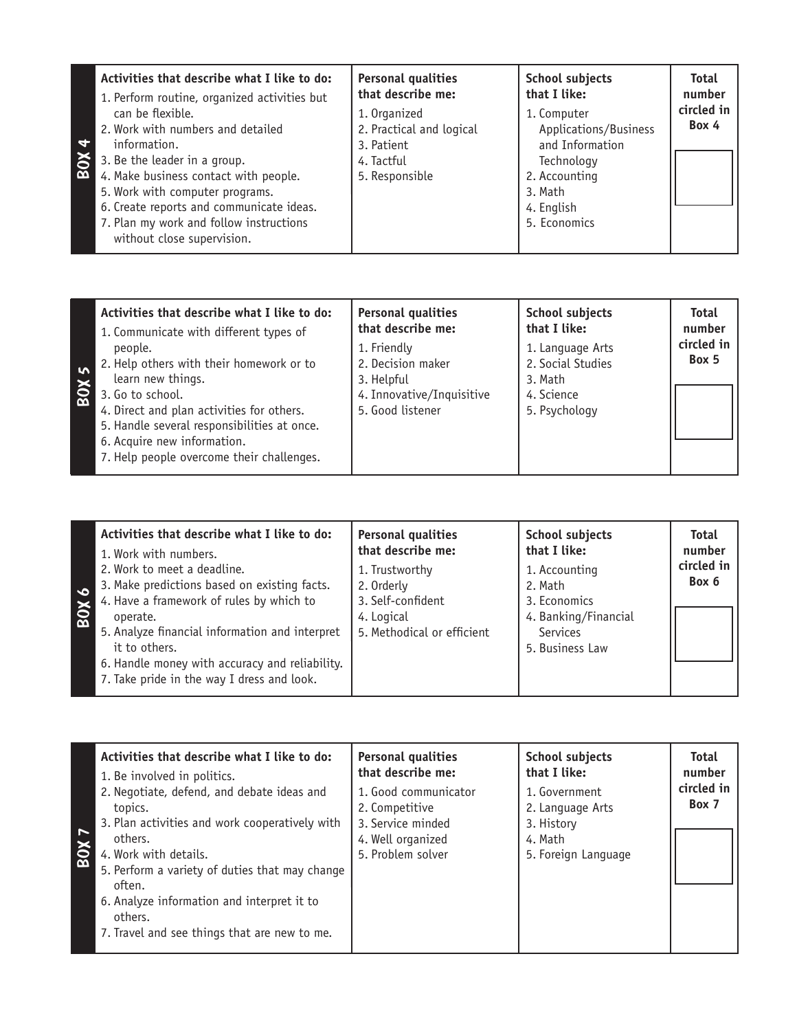| Activities that describe what I like to do:<br>1. Perform routine, organized activities but | <b>Personal qualities</b><br>that describe me: | <b>School subjects</b><br>that I like: | <b>Total</b><br>number<br>circled in |
|---------------------------------------------------------------------------------------------|------------------------------------------------|----------------------------------------|--------------------------------------|
| can be flexible.                                                                            | 1. Organized                                   | 1. Computer                            |                                      |
| 2. Work with numbers and detailed                                                           | 2. Practical and logical                       | Applications/Business                  | Box 4                                |
| $\blacktriangledown$<br>information.                                                        | 3. Patient                                     | and Information                        |                                      |
| <b>BOX</b><br>3. Be the leader in a group.                                                  | 4. Tactful                                     | Technology                             |                                      |
| 4. Make business contact with people.                                                       | 5. Responsible                                 | 2. Accounting                          |                                      |
| 5. Work with computer programs.                                                             |                                                | 3. Math                                |                                      |
| 6. Create reports and communicate ideas.                                                    |                                                | 4. English                             |                                      |
| 7. Plan my work and follow instructions<br>without close supervision.                       |                                                | 5. Economics                           |                                      |

| Activities that describe what I like to do:<br>1. Communicate with different types of | <b>Personal qualities</b><br>that describe me: | <b>School subjects</b><br>that I like: | <b>Total</b><br>number |
|---------------------------------------------------------------------------------------|------------------------------------------------|----------------------------------------|------------------------|
| people.                                                                               | 1. Friendly                                    | 1. Language Arts                       | circled in<br>Box 5    |
| 2. Help others with their homework or to                                              | 2. Decision maker                              | 2. Social Studies                      |                        |
| learn new things.                                                                     | 3. Helpful                                     | 3. Math                                |                        |
| 3. Go to school.                                                                      | 4. Innovative/Inquisitive                      | 4. Science                             |                        |
| 4. Direct and plan activities for others.                                             | 5. Good listener                               | 5. Psychology                          |                        |
| 5. Handle several responsibilities at once.                                           |                                                |                                        |                        |
| 6. Acquire new information.                                                           |                                                |                                        |                        |
| 7. Help people overcome their challenges.                                             |                                                |                                        |                        |
|                                                                                       |                                                |                                        |                        |

| Activities that describe what I like to do:<br>1. Work with numbers.<br>2. Work to meet a deadline.<br>3. Make predictions based on existing facts.<br>$\bullet$<br>4. Have a framework of rules by which to<br><b>ROX</b><br>operate.<br>5. Analyze financial information and interpret<br>it to others.<br>6. Handle money with accuracy and reliability. | <b>Personal qualities</b><br>that describe me:<br>1. Trustworthy<br>2. Orderly<br>3. Self-confident<br>4. Logical<br>5. Methodical or efficient | <b>School subjects</b><br>that I like:<br>1. Accounting<br>2. Math<br>3. Economics<br>4. Banking/Financial<br>Services<br>5. Business Law | <b>Total</b><br>number<br>circled in<br>Box 6 |
|-------------------------------------------------------------------------------------------------------------------------------------------------------------------------------------------------------------------------------------------------------------------------------------------------------------------------------------------------------------|-------------------------------------------------------------------------------------------------------------------------------------------------|-------------------------------------------------------------------------------------------------------------------------------------------|-----------------------------------------------|
| 7. Take pride in the way I dress and look.                                                                                                                                                                                                                                                                                                                  |                                                                                                                                                 |                                                                                                                                           |                                               |

| $\overline{ }$<br><b>ROX</b> | Activities that describe what I like to do:<br>1. Be involved in politics.<br>2. Negotiate, defend, and debate ideas and<br>topics.<br>3. Plan activities and work cooperatively with<br>others.<br>4. Work with details. | <b>Personal qualities</b><br>that describe me:<br>1. Good communicator<br>2. Competitive<br>3. Service minded<br>4. Well organized<br>5. Problem solver | <b>School subjects</b><br>that I like:<br>1. Government<br>2. Language Arts<br>3. History<br>4. Math<br>5. Foreign Language | <b>Total</b><br>number<br>circled in<br>Box 7 |
|------------------------------|---------------------------------------------------------------------------------------------------------------------------------------------------------------------------------------------------------------------------|---------------------------------------------------------------------------------------------------------------------------------------------------------|-----------------------------------------------------------------------------------------------------------------------------|-----------------------------------------------|
|                              | 5. Perform a variety of duties that may change<br>often.<br>6. Analyze information and interpret it to<br>others.<br>7. Travel and see things that are new to me.                                                         |                                                                                                                                                         |                                                                                                                             |                                               |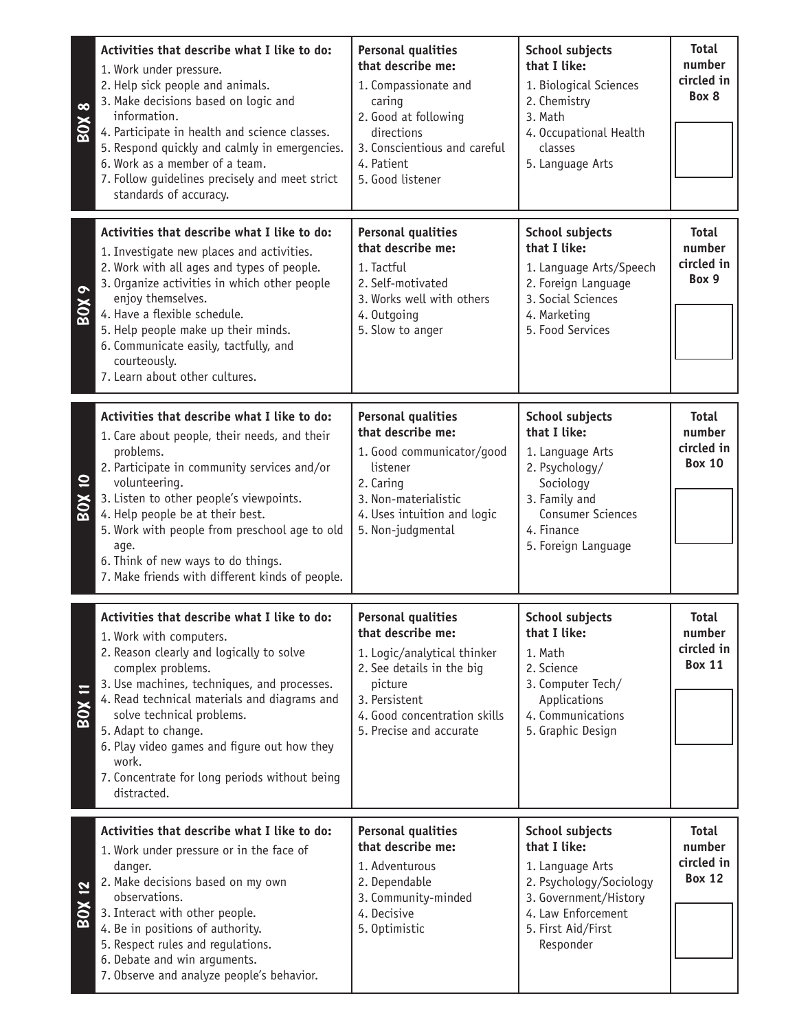| $\infty$<br><b>ROX</b>       | Activities that describe what I like to do:<br>1. Work under pressure.<br>2. Help sick people and animals.<br>3. Make decisions based on logic and<br>information.<br>4. Participate in health and science classes.<br>5. Respond quickly and calmly in emergencies.<br>6. Work as a member of a team.<br>7. Follow quidelines precisely and meet strict<br>standards of accuracy.                                 | <b>Personal qualities</b><br>that describe me:<br>1. Compassionate and<br>caring<br>2. Good at following<br>directions<br>3. Conscientious and careful<br>4. Patient<br>5. Good listener          | <b>School subjects</b><br>that I like:<br>1. Biological Sciences<br>2. Chemistry<br>3. Math<br>4. Occupational Health<br>classes<br>5. Language Arts                 | <b>Total</b><br>number<br>circled in<br>Box 8         |
|------------------------------|--------------------------------------------------------------------------------------------------------------------------------------------------------------------------------------------------------------------------------------------------------------------------------------------------------------------------------------------------------------------------------------------------------------------|---------------------------------------------------------------------------------------------------------------------------------------------------------------------------------------------------|----------------------------------------------------------------------------------------------------------------------------------------------------------------------|-------------------------------------------------------|
| $\bullet$<br>BOX             | Activities that describe what I like to do:<br>1. Investigate new places and activities.<br>2. Work with all ages and types of people.<br>3. Organize activities in which other people<br>enjoy themselves.<br>4. Have a flexible schedule.<br>5. Help people make up their minds.<br>6. Communicate easily, tactfully, and<br>courteously.<br>7. Learn about other cultures.                                      | <b>Personal qualities</b><br>that describe me:<br>1. Tactful<br>2. Self-motivated<br>3. Works well with others<br>4. Outgoing<br>5. Slow to anger                                                 | School subjects<br>that I like:<br>1. Language Arts/Speech<br>2. Foreign Language<br>3. Social Sciences<br>4. Marketing<br>5. Food Services                          | <b>Total</b><br>number<br>circled in<br>Box 9         |
| $\overline{a}$<br><b>XOS</b> | Activities that describe what I like to do:<br>1. Care about people, their needs, and their<br>problems.<br>2. Participate in community services and/or<br>volunteering.<br>3. Listen to other people's viewpoints.<br>4. Help people be at their best.<br>5. Work with people from preschool age to old<br>age.<br>6. Think of new ways to do things.<br>7. Make friends with different kinds of people.          | <b>Personal qualities</b><br>that describe me:<br>1. Good communicator/good<br>listener<br>2. Caring<br>3. Non-materialistic<br>4. Uses intuition and logic<br>5. Non-judgmental                  | School subjects<br>that I like:<br>1. Language Arts<br>2. Psychology/<br>Sociology<br>3. Family and<br><b>Consumer Sciences</b><br>4. Finance<br>5. Foreign Language | <b>Total</b><br>number<br>circled in<br><b>Box 10</b> |
| <b>X08</b>                   | Activities that describe what I like to do:<br>1. Work with computers.<br>2. Reason clearly and logically to solve<br>complex problems.<br>3. Use machines, techniques, and processes.<br>4. Read technical materials and diagrams and<br>solve technical problems.<br>5. Adapt to change.<br>6. Play video games and figure out how they<br>work.<br>7. Concentrate for long periods without being<br>distracted. | <b>Personal qualities</b><br>that describe me:<br>1. Logic/analytical thinker<br>2. See details in the big<br>picture<br>3. Persistent<br>4. Good concentration skills<br>5. Precise and accurate | School subjects<br>that I like:<br>1. Math<br>2. Science<br>3. Computer Tech/<br>Applications<br>4. Communications<br>5. Graphic Design                              | <b>Total</b><br>number<br>circled in<br><b>Box 11</b> |
| <u>12</u><br><b>BOX</b>      | Activities that describe what I like to do:<br>1. Work under pressure or in the face of<br>danger.<br>2. Make decisions based on my own<br>observations.<br>3. Interact with other people.<br>4. Be in positions of authority.<br>5. Respect rules and regulations.<br>6. Debate and win arguments.<br>7. Observe and analyze people's behavior.                                                                   | <b>Personal qualities</b><br>that describe me:<br>1. Adventurous<br>2. Dependable<br>3. Community-minded<br>4. Decisive<br>5. Optimistic                                                          | School subjects<br>that I like:<br>1. Language Arts<br>2. Psychology/Sociology<br>3. Government/History<br>4. Law Enforcement<br>5. First Aid/First<br>Responder     | <b>Total</b><br>number<br>circled in<br><b>Box 12</b> |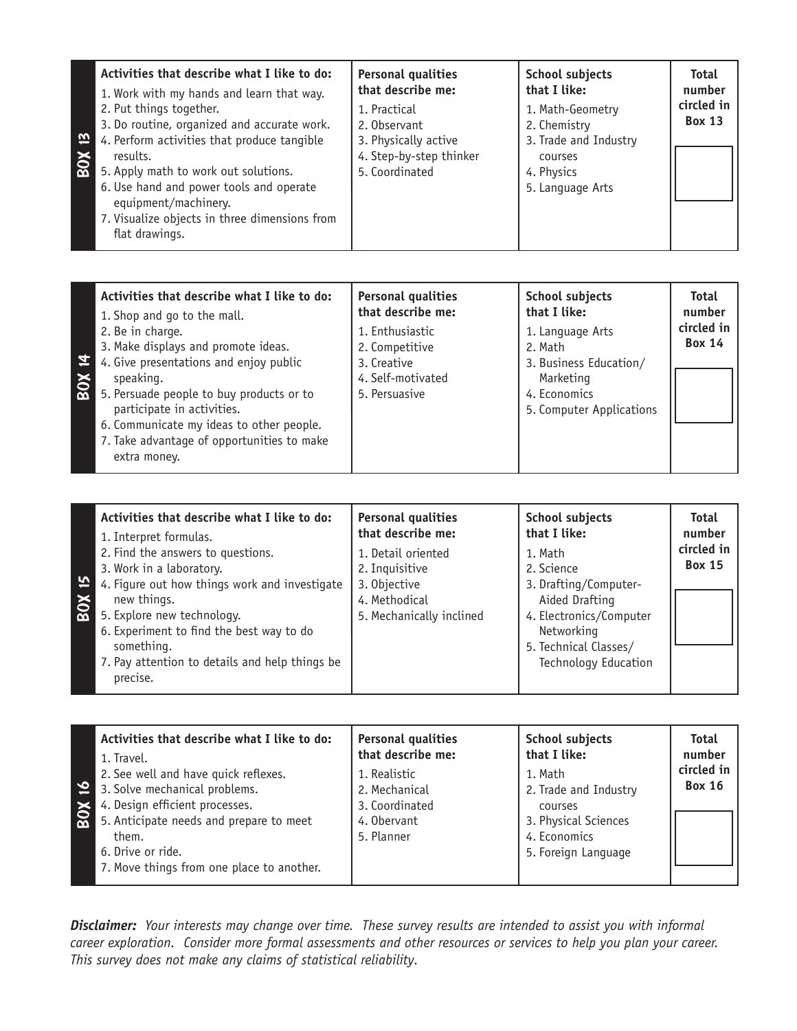| Activities that describe what I like to do:<br>1. Work with my hands and learn that way.<br>2. Put things together.<br>3. Do routine, organized and accurate work.<br>$\vec{\omega}$<br>4. Perform activities that produce tangible<br>results.<br>80 <sup>2</sup><br>5. Apply math to work out solutions.<br>6. Use hand and power tools and operate<br>equipment/machinery. | <b>Personal qualities</b><br>that describe me:<br>1. Practical<br>2. Observant<br>3. Physically active<br>4. Step-by-step thinker<br>5. Coordinated | <b>School subjects</b><br>that I like:<br>1. Math-Geometry<br>2. Chemistry<br>3. Trade and Industry<br>courses<br>4. Physics<br>5. Language Arts | <b>Total</b><br>number<br>circled in<br><b>Box 13</b> |
|-------------------------------------------------------------------------------------------------------------------------------------------------------------------------------------------------------------------------------------------------------------------------------------------------------------------------------------------------------------------------------|-----------------------------------------------------------------------------------------------------------------------------------------------------|--------------------------------------------------------------------------------------------------------------------------------------------------|-------------------------------------------------------|
| 7. Visualize objects in three dimensions from<br>flat drawings.                                                                                                                                                                                                                                                                                                               |                                                                                                                                                     |                                                                                                                                                  |                                                       |

| Activities that describe what I like to do:                                                                                                                                                                                                                                                                     | <b>Personal qualities</b>                                                              | <b>School subjects</b>                                                                                         | <b>Total</b>                |
|-----------------------------------------------------------------------------------------------------------------------------------------------------------------------------------------------------------------------------------------------------------------------------------------------------------------|----------------------------------------------------------------------------------------|----------------------------------------------------------------------------------------------------------------|-----------------------------|
| 1. Shop and go to the mall.                                                                                                                                                                                                                                                                                     | that describe me:                                                                      | that I like:                                                                                                   | number                      |
| 2. Be in charge.<br>3. Make displays and promote ideas.<br>4. Give presentations and enjoy public<br>speaking.<br>speaking.<br>5. Persuade people to buy products or to<br>participate in activities.<br>6. Communicate my ideas to other people.<br>7. Take advantage of opportunities to make<br>extra money. | 1. Enthusiastic<br>2. Competitive<br>3. Creative<br>4. Self-motivated<br>5. Persuasive | 1. Language Arts<br>2. Math<br>3. Business Education/<br>Marketing<br>4. Economics<br>5. Computer Applications | circled in<br><b>Box 14</b> |

| Activities that describe what I like to do:<br>1. Interpret formulas.          | <b>Personal qualities</b><br>that describe me: | <b>School subjects</b><br>that I like:    | <b>Total</b><br>number      |
|--------------------------------------------------------------------------------|------------------------------------------------|-------------------------------------------|-----------------------------|
| 2. Find the answers to questions.                                              | 1. Detail oriented                             | 1. Math                                   | circled in<br><b>Box 15</b> |
| 3. Work in a laboratory.<br>5<br>4. Figure out how things work and investigate | 2. Inquisitive<br>3. Objective                 | 2. Science<br>3. Drafting/Computer-       |                             |
| BOX<br>new things.<br>5. Explore new technology.                               | 4. Methodical<br>5. Mechanically inclined      | Aided Drafting<br>4. Electronics/Computer |                             |
| 6. Experiment to find the best way to do<br>something.                         |                                                | Networking<br>5. Technical Classes/       |                             |
| 7. Pay attention to details and help things be<br>precise.                     |                                                | <b>Technology Education</b>               |                             |

| Activities that describe what I like to do:<br>1. Travel.<br>2. See well and have quick reflexes.<br>$\mathbf{v}$<br>3. Solve mechanical problems.<br>4. Design efficient processes.<br>5. Anticipate needs and prepare<br>5. Anticipate needs and prepare to meet<br>them.<br>6. Drive or ride.<br>7. Move things from one place to another. | <b>Personal qualities</b><br>that describe me:<br>1. Realistic<br>2. Mechanical<br>3. Coordinated<br>4. Obervant<br>5. Planner | <b>School subjects</b><br>that I like:<br>1. Math<br>2. Trade and Industry<br>courses<br>3. Physical Sciences<br>4. Economics<br>5. Foreign Language | <b>Total</b><br>number<br>circled in<br><b>Box 16</b> |
|-----------------------------------------------------------------------------------------------------------------------------------------------------------------------------------------------------------------------------------------------------------------------------------------------------------------------------------------------|--------------------------------------------------------------------------------------------------------------------------------|------------------------------------------------------------------------------------------------------------------------------------------------------|-------------------------------------------------------|
|-----------------------------------------------------------------------------------------------------------------------------------------------------------------------------------------------------------------------------------------------------------------------------------------------------------------------------------------------|--------------------------------------------------------------------------------------------------------------------------------|------------------------------------------------------------------------------------------------------------------------------------------------------|-------------------------------------------------------|

*Disclaimer: Your interests may change over time. These survey results are intended to assist you with informal career exploration. Consider more formal assessments and other resources or services to help you plan your career. This survey does not make any claims of statistical reliability.*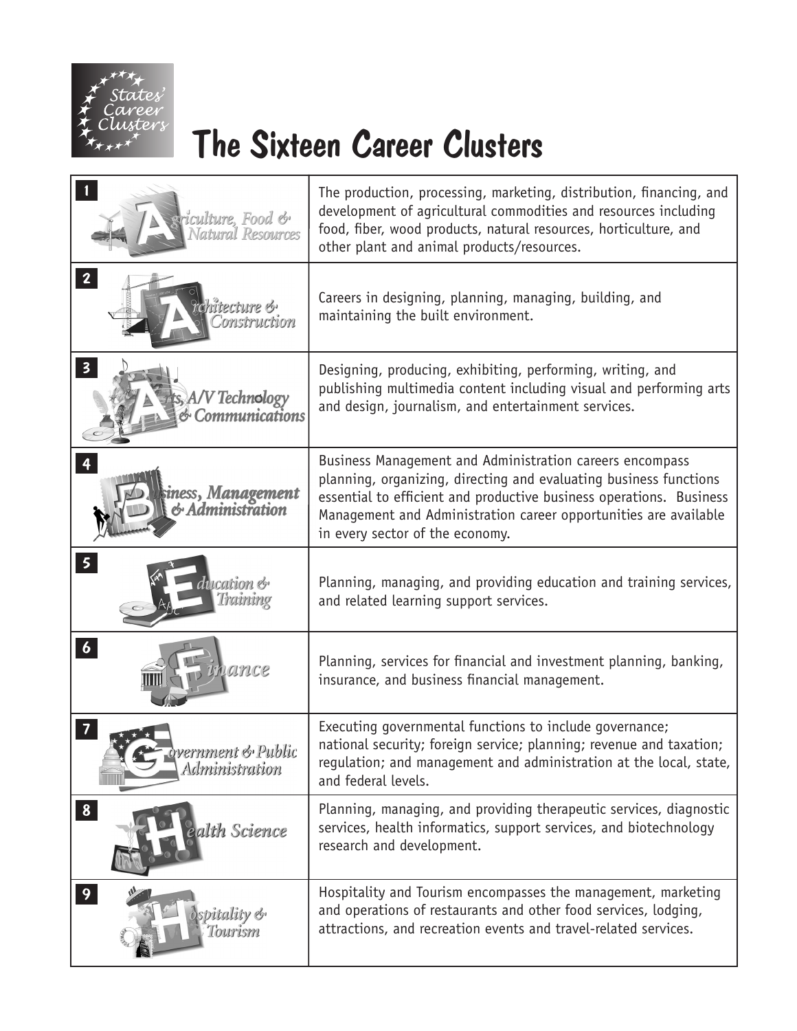

## The Sixteen Career Clusters

| griculture, Food &<br>Natural Resources                                 | The production, processing, marketing, distribution, financing, and<br>development of agricultural commodities and resources including<br>food, fiber, wood products, natural resources, horticulture, and<br>other plant and animal products/resources.                                                    |  |
|-------------------------------------------------------------------------|-------------------------------------------------------------------------------------------------------------------------------------------------------------------------------------------------------------------------------------------------------------------------------------------------------------|--|
| $\overline{2}$<br>rerrume voi<br>onstruction                            | Careers in designing, planning, managing, building, and<br>maintaining the built environment.                                                                                                                                                                                                               |  |
| $\overline{\mathbf{3}}$<br>A/V Technology<br><b>Communications</b>      | Designing, producing, exhibiting, performing, writing, and<br>publishing multimedia content including visual and performing arts<br>and design, journalism, and entertainment services.                                                                                                                     |  |
| $\overline{4}$<br>iness, M <mark>anagement</mark><br>{ & Administration | Business Management and Administration careers encompass<br>planning, organizing, directing and evaluating business functions<br>essential to efficient and productive business operations. Business<br>Management and Administration career opportunities are available<br>in every sector of the economy. |  |
| 5 <sup>1</sup><br>ication &<br>lraining                                 | Planning, managing, and providing education and training services,<br>and related learning support services.                                                                                                                                                                                                |  |
| $\vert 6 \vert$                                                         | Planning, services for financial and investment planning, banking,<br>insurance, and business financial management.                                                                                                                                                                                         |  |
| 7<br>ivernment & Public<br>Administration                               | Executing governmental functions to include governance;<br>national security; foreign service; planning; revenue and taxation;<br>regulation; and management and administration at the local, state,<br>and federal levels.                                                                                 |  |
| 8 <sup>1</sup><br>alth Science                                          | Planning, managing, and providing therapeutic services, diagnostic<br>services, health informatics, support services, and biotechnology<br>research and development.                                                                                                                                        |  |
| 9<br>spitality &<br>Tourism                                             | Hospitality and Tourism encompasses the management, marketing<br>and operations of restaurants and other food services, lodging,<br>attractions, and recreation events and travel-related services.                                                                                                         |  |